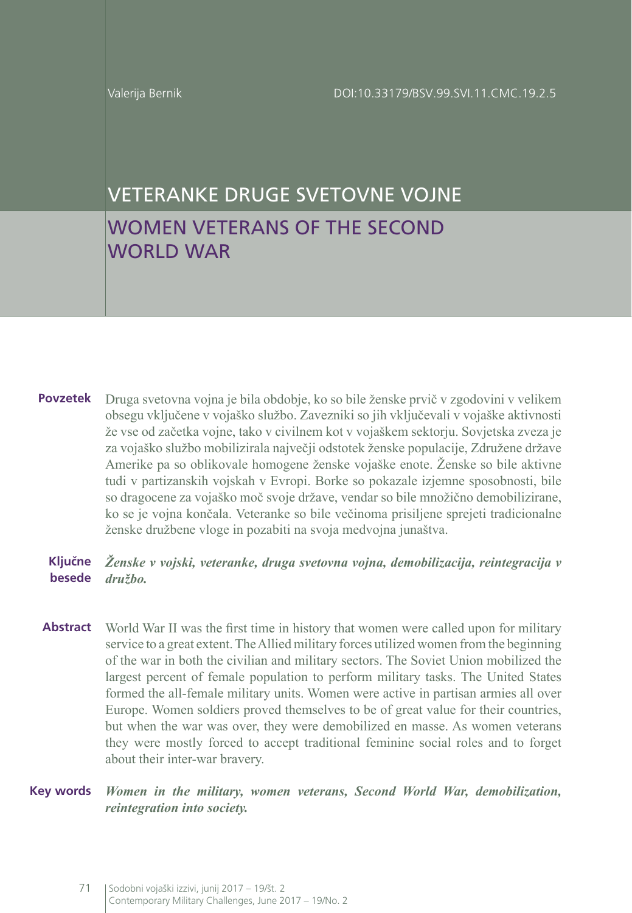WORLD WAR

# VETERANKE DRUGE SVETOVNE VOJNE WOMEN VETERANS OF THE SECOND

**Povzetek** Druga svetovna vojna je bila obdobje, ko so bile ženske prvič v zgodovini v velikem obsegu vključene v vojaško službo. Zavezniki so jih vključevali v vojaške aktivnosti že vse od začetka vojne, tako v civilnem kot v vojaškem sektorju. Sovjetska zveza je za vojaško službo mobilizirala največji odstotek ženske populacije, Združene države Amerike pa so oblikovale homogene ženske vojaške enote. Ženske so bile aktivne tudi v partizanskih vojskah v Evropi. Borke so pokazale izjemne sposobnosti, bile so dragocene za vojaško moč svoje države, vendar so bile množično demobilizirane, ko se je vojna končala. Veteranke so bile večinoma prisiljene sprejeti tradicionalne ženske družbene vloge in pozabiti na svoja medvojna junaštva.

#### **Ključne besede** *družbo. Ženske v vojski, veteranke, druga svetovna vojna, demobilizacija, reintegracija v*

**Abstract** World War II was the first time in history that women were called upon for military service to a great extent. The Allied military forces utilized women from the beginning of the war in both the civilian and military sectors. The Soviet Union mobilized the largest percent of female population to perform military tasks. The United States formed the all-female military units. Women were active in partisan armies all over Europe. Women soldiers proved themselves to be of great value for their countries, but when the war was over, they were demobilized en masse. As women veterans they were mostly forced to accept traditional feminine social roles and to forget about their inter-war bravery.

**Key words** *Women in the military, women veterans, Second World War, demobilization, reintegration into society.*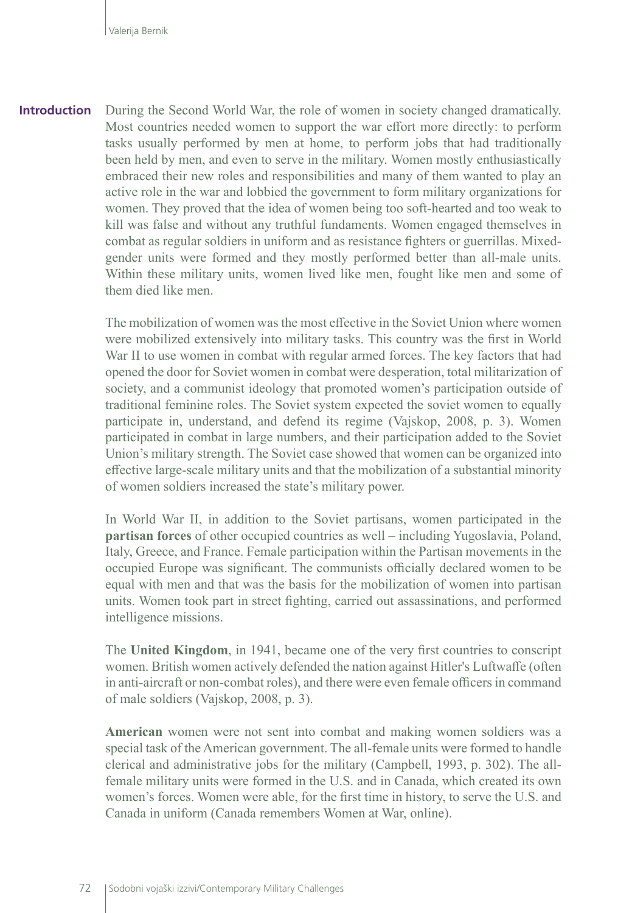During the Second World War, the role of women in society changed dramatically. Most countries needed women to support the war effort more directly: to perform tasks usually performed by men at home, to perform jobs that had traditionally been held by men, and even to serve in the military. Women mostly enthusiastically embraced their new roles and responsibilities and many of them wanted to play an active role in the war and lobbied the government to form military organizations for women. They proved that the idea of women being too soft-hearted and too weak to kill was false and without any truthful fundaments. Women engaged themselves in combat as regular soldiers in uniform and as resistance fighters or guerrillas. Mixedgender units were formed and they mostly performed better than all-male units. Within these military units, women lived like men, fought like men and some of them died like men. **Introduction**

> The mobilization of women was the most effective in the Soviet Union where women were mobilized extensively into military tasks. This country was the first in World War II to use women in combat with regular armed forces. The key factors that had opened the door for Soviet women in combat were desperation, total militarization of society, and a communist ideology that promoted women's participation outside of traditional feminine roles. The Soviet system expected the soviet women to equally participate in, understand, and defend its regime (Vajskop, 2008, p. 3). Women participated in combat in large numbers, and their participation added to the Soviet Union's military strength. The Soviet case showed that women can be organized into effective large-scale military units and that the mobilization of a substantial minority of women soldiers increased the state's military power.

> In World War II, in addition to the Soviet partisans, women participated in the **partisan forces** of other occupied countries as well – including Yugoslavia, Poland, Italy, Greece, and France. Female participation within the Partisan movements in the occupied Europe was significant. The communists officially declared women to be equal with men and that was the basis for the mobilization of women into partisan units. Women took part in street fighting, carried out assassinations, and performed intelligence missions.

> The **United Kingdom**, in 1941, became one of the very first countries to conscript women. British women actively defended the nation against Hitler's Luftwaffe (often in anti-aircraft or non-combat roles), and there were even female officers in command of male soldiers (Vajskop, 2008, p. 3).

> **American** women were not sent into combat and making women soldiers was a special task of the American government. The all-female units were formed to handle clerical and administrative jobs for the military (Campbell, 1993, p. 302). The allfemale military units were formed in the U.S. and in Canada, which created its own women's forces. Women were able, for the first time in history, to serve the U.S. and Canada in uniform (Canada remembers Women at War, online).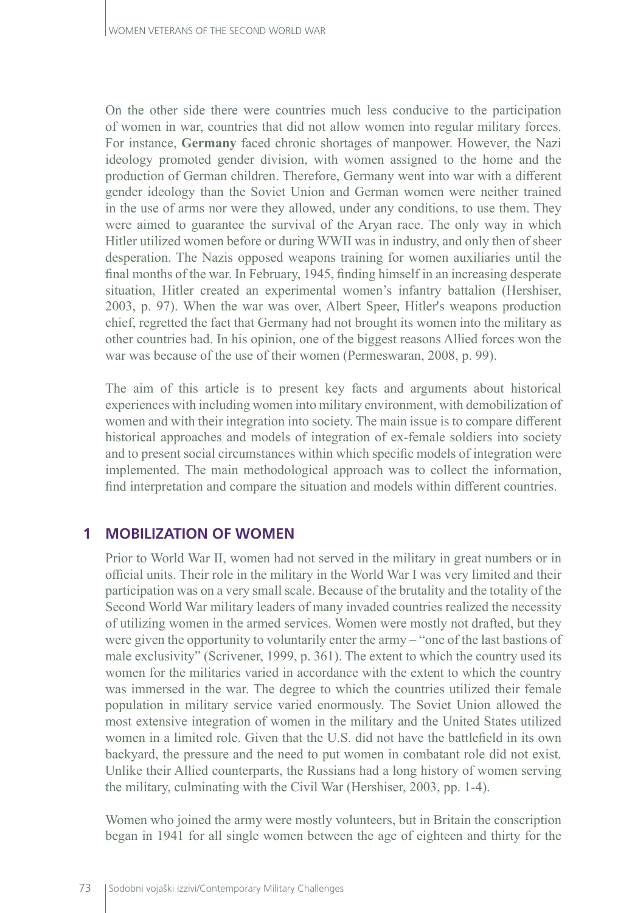On the other side there were countries much less conducive to the participation of women in war, countries that did not allow women into regular military forces. For instance, **Germany** faced chronic shortages of manpower. However, the Nazi ideology promoted gender division, with women assigned to the home and the production of German children. Therefore, Germany went into war with a different gender ideology than the Soviet Union and German women were neither trained in the use of arms nor were they allowed, under any conditions, to use them. They were aimed to guarantee the survival of the Aryan race. The only way in which Hitler utilized women before or during WWII was in industry, and only then of sheer desperation. The Nazis opposed weapons training for women auxiliaries until the final months of the war. In February, 1945, finding himself in an increasing desperate situation, Hitler created an experimental women's infantry battalion (Hershiser, 2003, p. 97). When the war was over, Albert Speer, Hitler's weapons production chief, regretted the fact that Germany had not brought its women into the military as other countries had. In his opinion, one of the biggest reasons Allied forces won the war was because of the use of their women (Permeswaran, 2008, p. 99).

The aim of this article is to present key facts and arguments about historical experiences with including women into military environment, with demobilization of women and with their integration into society. The main issue is to compare different historical approaches and models of integration of ex-female soldiers into society and to present social circumstances within which specific models of integration were implemented. The main methodological approach was to collect the information, find interpretation and compare the situation and models within different countries.

### **1 MOBILIZATION OF WOMEN**

Prior to World War II, women had not served in the military in great numbers or in official units. Their role in the military in the World War I was very limited and their participation was on a very small scale. Because of the brutality and the totality of the Second World War military leaders of many invaded countries realized the necessity of utilizing women in the armed services. Women were mostly not drafted, but they were given the opportunity to voluntarily enter the army – "one of the last bastions of male exclusivity" (Scrivener, 1999, p. 361). The extent to which the country used its women for the militaries varied in accordance with the extent to which the country was immersed in the war. The degree to which the countries utilized their female population in military service varied enormously. The Soviet Union allowed the most extensive integration of women in the military and the United States utilized women in a limited role. Given that the U.S. did not have the battlefield in its own backyard, the pressure and the need to put women in combatant role did not exist. Unlike their Allied counterparts, the Russians had a long history of women serving the military, culminating with the Civil War (Hershiser, 2003, pp. 1-4).

Women who joined the army were mostly volunteers, but in Britain the conscription began in 1941 for all single women between the age of eighteen and thirty for the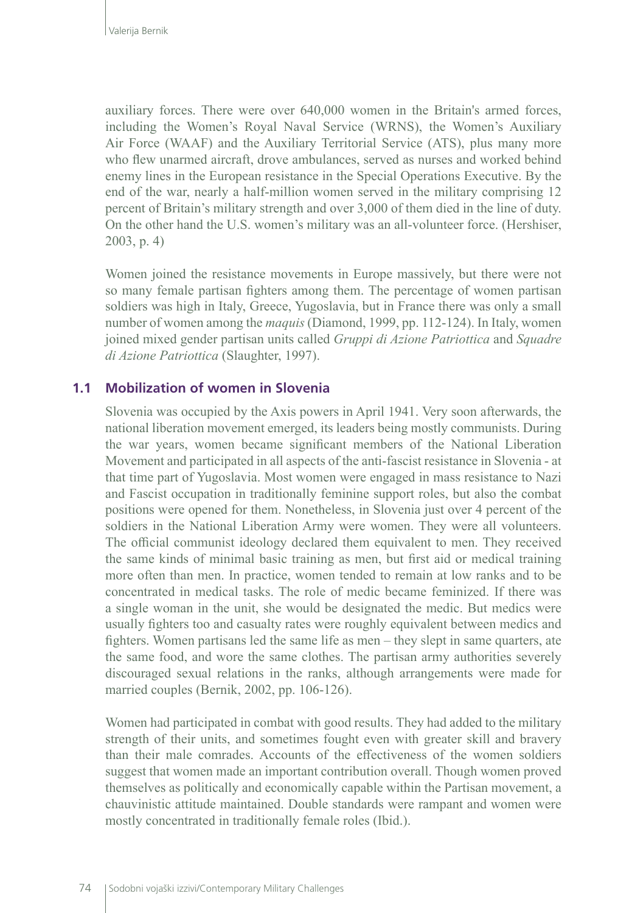auxiliary forces. There were over 640,000 women in the Britain's armed forces, including [the Women's Royal Naval Service \(WRNS\)](http://www.wrens.org.uk/history), the [Women's Auxiliary](http://www.iwm.org.uk/history/womens-auxiliary-services-during-the-second-world-war)  [Air Force \(WAAF\)](http://www.iwm.org.uk/history/womens-auxiliary-services-during-the-second-world-war) and the Auxiliary Territorial Service (ATS), plus many more who flew unarmed aircraft, drove ambulances, served as nurses and worked behind enemy lines in the European resistance in the Special Operations Executive. By the end of the war, nearly a half-million women served in the military comprising 12 percent of Britain's military strength and over 3,000 of them died in the line of duty. On the other hand the U.S. women's military was an all-volunteer force. (Hershiser, 2003, p. 4)

Women joined the resistance movements in Europe massively, but there were not so many female partisan fighters among them. The percentage of women partisan soldiers was high in Italy, Greece, Yugoslavia, but in France there was only a small number of women among the *maquis* (Diamond, 1999, pp. 112-124). In Italy, women joined mixed gender partisan units called *Gruppi di Azione Patriottica* and *Squadre di Azione Patriottica* (Slaughter, 1997).

### **1.1 Mobilization of women in Slovenia**

Slovenia was occupied by the Axis powers in April 1941. Very soon afterwards, the national liberation movement emerged, its leaders being mostly communists. During the war years, women became significant members of the National Liberation Movement and participated in all aspects of the anti-fascist resistance in Slovenia - at that time part of Yugoslavia. Most women were engaged in mass resistance to Nazi and Fascist occupation in traditionally feminine support roles, but also the combat positions were opened for them. Nonetheless, in Slovenia just over 4 percent of the soldiers in the National Liberation Army were women. They were all volunteers. The official communist ideology declared them equivalent to men. They received the same kinds of minimal basic training as men, but first aid or medical training more often than men. In practice, women tended to remain at low ranks and to be concentrated in medical tasks. The role of medic became feminized. If there was a single woman in the unit, she would be designated the medic. But medics were usually fighters too and casualty rates were roughly equivalent between medics and fighters. Women partisans led the same life as men – they slept in same quarters, ate the same food, and wore the same clothes. The partisan army authorities severely discouraged sexual relations in the ranks, although arrangements were made for married couples (Bernik, 2002, pp. 106-126).

Women had participated in combat with good results. They had added to the military strength of their units, and sometimes fought even with greater skill and bravery than their male comrades. Accounts of the effectiveness of the women soldiers suggest that women made an important contribution overall. Though women proved themselves as politically and economically capable within the Partisan movement, a chauvinistic attitude maintained. Double standards were rampant and women were mostly concentrated in traditionally female roles (Ibid.).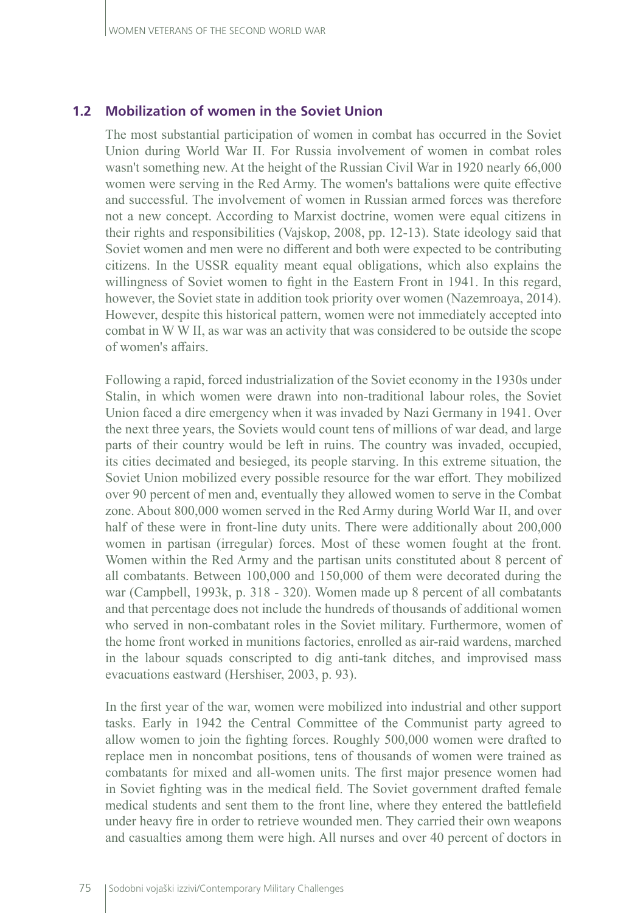#### **1.2 Mobilization of women in the Soviet Union**

The most substantial participation of women in combat has occurred in the Soviet Union during World War II. For Russia involvement of women in combat roles wasn't something new. At the height of the Russian Civil War in 1920 nearly 66,000 women were serving in the Red Army. The women's battalions were quite effective and successful. The involvement of women in Russian armed forces was therefore not a new concept. According to Marxist doctrine, women were equal citizens in their rights and responsibilities (Vajskop, 2008, pp. 12-13). State ideology said that Soviet women and men were no different and both were expected to be contributing citizens. In the USSR equality meant equal obligations, which also explains the willingness of Soviet women to fight in the Eastern Front in 1941. In this regard, however, the Soviet state in addition took priority over women (Nazemroaya, 2014). However, despite this historical pattern, women were not immediately accepted into combat in W W II, as war was an activity that was considered to be outside the scope of women's affairs.

Following a rapid, forced industrialization of the Soviet economy in the 1930s under Stalin, in which women were drawn into non-traditional labour roles, the Soviet Union faced a dire emergency when it was invaded by Nazi Germany in 1941. Over the next three years, the Soviets would count tens of millions of war dead, and large parts of their country would be left in ruins. The country was invaded, occupied, its cities decimated and besieged, its people starving. In this extreme situation, the Soviet Union mobilized every possible resource for the war effort. They mobilized over 90 percent of men and, eventually they allowed women to serve in the Combat zone. About 800,000 women served in the Red Army during World War II, and over half of these were in front-line duty units. There were additionally about 200,000 women in partisan (irregular) forces. Most of these women fought at the front. Women within the Red Army and the partisan units constituted about 8 percent of all combatants. Between 100,000 and 150,000 of them were decorated during the war (Campbell, 1993k, p. 318 - 320). Women made up 8 percent of all combatants and that percentage does not include the hundreds of thousands of additional women who served in non-combatant roles in the Soviet military. Furthermore, women of the home front worked in munitions factories, enrolled as air-raid wardens, marched in the labour squads conscripted to dig anti-tank ditches, and improvised mass evacuations eastward (Hershiser, 2003, p. 93).

In the first year of the war, women were mobilized into industrial and other support tasks. Early in 1942 the Central Committee of the Communist party agreed to allow women to join the fighting forces. Roughly 500,000 women were drafted to replace men in noncombat positions, tens of thousands of women were trained as combatants for mixed and all-women units. The first major presence women had in Soviet fighting was in the medical field. The Soviet government drafted female medical students and sent them to the front line, where they entered the battlefield under heavy fire in order to retrieve wounded men. They carried their own weapons and casualties among them were high. All nurses and over 40 percent of doctors in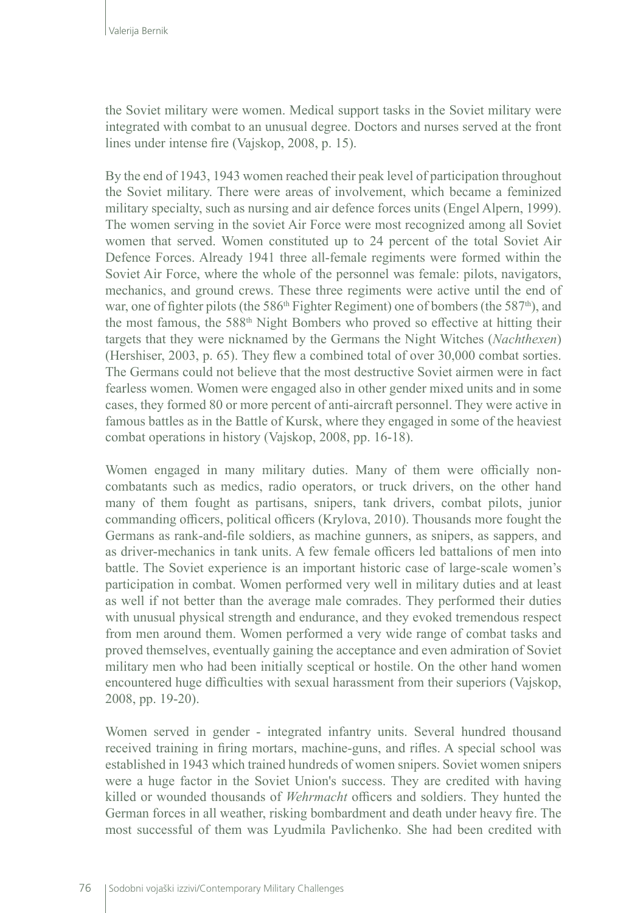the Soviet military were women. Medical support tasks in the Soviet military were integrated with combat to an unusual degree. Doctors and nurses served at the front lines under intense fire (Vajskop, 2008, p. 15).

By the end of 1943, 1943 women reached their peak level of participation throughout the Soviet military. There were areas of involvement, which became a feminized military specialty, such as nursing and air defence forces units (Engel Alpern, 1999). The women serving in the soviet Air Force were most recognized among all Soviet women that served. Women constituted up to 24 percent of the total Soviet Air Defence Forces. Already 1941 three all-female regiments were formed within the Soviet Air Force, where the whole of the personnel was female: pilots, navigators, mechanics, and ground crews. These three regiments were active until the end of war, one of fighter pilots (the 586<sup>th</sup> Fighter Regiment) one of bombers (the 587<sup>th</sup>), and the most famous, the 588<sup>th</sup> Night Bombers who proved so effective at hitting their targets that they were nicknamed by the Germans the Night Witches (*Nachthexen*) (Hershiser, 2003, p. 65). They flew a combined total of over 30,000 combat sorties. The Germans could not believe that the most destructive Soviet airmen were in fact fearless women. Women were engaged also in other gender mixed units and in some cases, they formed 80 or more percent of anti-aircraft personnel. They were active in famous battles as in the Battle of Kursk, where they engaged in some of the heaviest combat operations in history (Vajskop, 2008, pp. 16-18).

Women engaged in many military duties. Many of them were officially noncombatants such as medics, radio operators, or truck drivers, on the other hand many of them fought as partisans, snipers, tank drivers, combat pilots, junior commanding officers, political officers (Krylova, 2010). Thousands more fought the Germans as rank-and-file soldiers, as machine gunners, as snipers, as sappers, and as driver-mechanics in tank units. A few female officers led battalions of men into battle. The Soviet experience is an important historic case of large-scale women's participation in combat. Women performed very well in military duties and at least as well if not better than the average male comrades. They performed their duties with unusual physical strength and endurance, and they evoked tremendous respect from men around them. Women performed a very wide range of combat tasks and proved themselves, eventually gaining the acceptance and even admiration of Soviet military men who had been initially sceptical or hostile. On the other hand women encountered huge difficulties with sexual harassment from their superiors (Vajskop, 2008, pp. 19-20).

Women served in gender - integrated infantry units. Several hundred thousand received training in firing mortars, machine-guns, and rifles. A special school was established in 1943 which trained hundreds of women snipers. Soviet women snipers were a huge factor in the Soviet Union's success. They are credited with having killed or wounded thousands of *Wehrmacht* officers and soldiers. They hunted the German forces in all weather, risking bombardment and death under heavy fire. The most successful of them was Lyudmila Pavlichenko. She had been credited with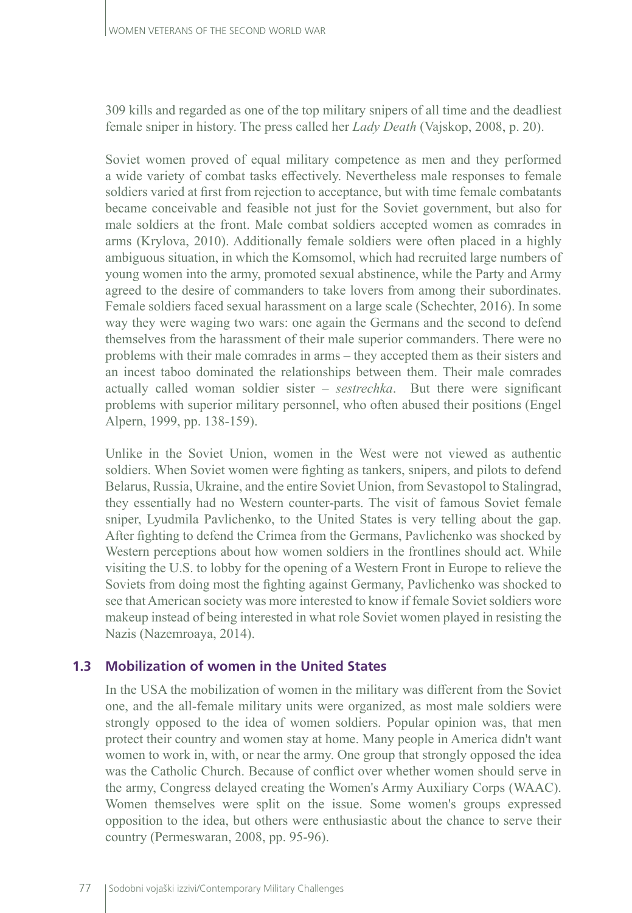309 kills and regarded as one of the top military snipers of all time and the deadliest female sniper in history. The press called her *Lady Death* (Vajskop, 2008, p. 20).

Soviet women proved of equal military competence as men and they performed a wide variety of combat tasks effectively. Nevertheless male responses to female soldiers varied at first from rejection to acceptance, but with time female combatants became conceivable and feasible not just for the Soviet government, but also for male soldiers at the front. Male combat soldiers accepted women as comrades in arms (Krylova, 2010). Additionally female soldiers were often placed in a highly ambiguous situation, in which the Komsomol, which had recruited large numbers of young women into the army, promoted sexual abstinence, while the Party and Army agreed to the desire of commanders to take lovers from among their subordinates. Female soldiers faced sexual harassment on a large scale (Schechter, 2016). In some way they were waging two wars: one again the Germans and the second to defend themselves from the harassment of their male superior commanders. There were no problems with their male comrades in arms – they accepted them as their sisters and an incest taboo dominated the relationships between them. Their male comrades actually called woman soldier sister – *sestrechka*. But there were significant problems with superior military personnel, who often abused their positions (Engel Alpern, 1999, pp. 138-159).

Unlike in the Soviet Union, women in the West were not viewed as authentic soldiers. When Soviet women were fighting as tankers, snipers, and pilots to defend Belarus, Russia, Ukraine, and the entire Soviet Union, from Sevastopol to Stalingrad, they essentially had no Western counter-parts. The visit of famous Soviet female sniper, Lyudmila Pavlichenko, to the United States is very telling about the gap. After fighting to defend the Crimea from the Germans, Pavlichenko was shocked by Western perceptions about how women soldiers in the frontlines should act. While visiting the U.S. to lobby for the opening of a Western Front in Europe to relieve the Soviets from doing most the fighting against Germany, Pavlichenko was shocked to see that American society was more interested to know if female Soviet soldiers wore makeup instead of being interested in what role Soviet women played in resisting the Nazis (Nazemroaya, 2014).

### **1.3 Mobilization of women in the United States**

In the USA the mobilization of women in the military was different from the Soviet one, and the all-female military units were organized, as most male soldiers were strongly opposed to the idea of women soldiers. Popular opinion was, that men protect their country and women stay at home. Many people in America didn't want women to work in, with, or near the army. One group that strongly opposed the idea was the Catholic Church. Because of conflict over whether women should serve in the army, Congress delayed creating the Women's Army Auxiliary Corps (WAAC). Women themselves were split on the issue. Some women's groups expressed opposition to the idea, but others were enthusiastic about the chance to serve their country (Permeswaran, 2008, pp. 95-96).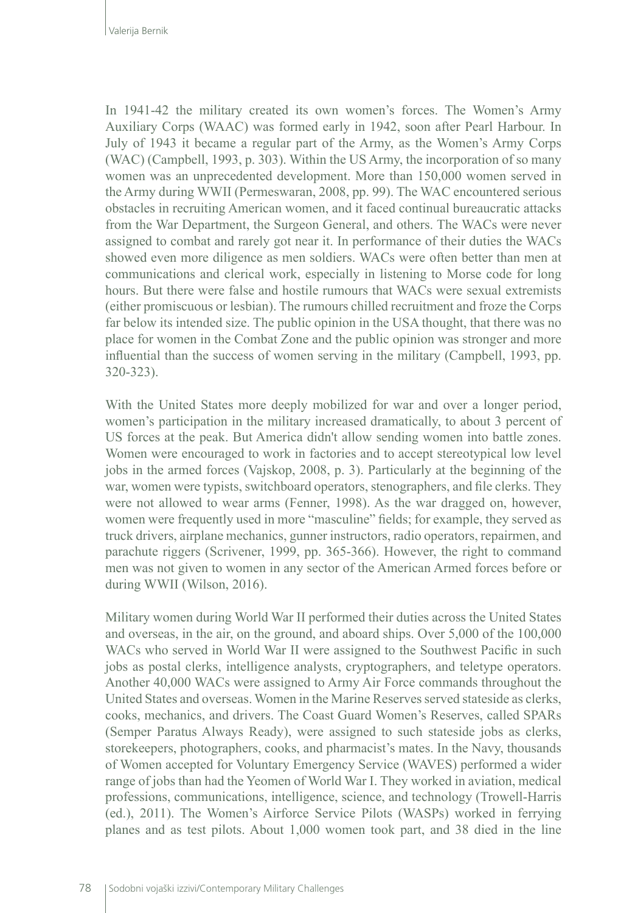In 1941-42 the military created its own women's forces. The Women's Army Auxiliary Corps (WAAC) was formed early in 1942, soon after Pearl Harbour. In July of 1943 it became a regular part of the Army, as the Women's Army Corps (WAC) (Campbell, 1993, p. 303). Within the US Army, the incorporation of so many women was an unprecedented development. More than 150,000 women served in the Army during WWII (Permeswaran, 2008, pp. 99). The WAC encountered serious obstacles in recruiting American women, and it faced continual bureaucratic attacks from the War Department, the Surgeon General, and others. The WACs were never assigned to combat and rarely got near it. In performance of their duties the WACs showed even more diligence as men soldiers. WACs were often better than men at communications and clerical work, especially in listening to Morse code for long hours. But there were false and hostile rumours that WACs were sexual extremists (either promiscuous or lesbian). The rumours chilled recruitment and froze the Corps far below its intended size. The public opinion in the USA thought, that there was no place for women in the Combat Zone and the public opinion was stronger and more influential than the success of women serving in the military (Campbell, 1993, pp. 320-323).

With the United States more deeply mobilized for war and over a longer period, women's participation in the military increased dramatically, to about 3 percent of US forces at the peak. But America didn't allow sending women into battle zones. Women were encouraged to work in factories and to accept stereotypical low level jobs in the armed forces (Vajskop, 2008, p. 3). Particularly at the beginning of the war, women were typists, switchboard operators, stenographers, and file clerks. They were not allowed to wear arms (Fenner, 1998). As the war dragged on, however, women were frequently used in more "masculine" fields; for example, they served as truck drivers, airplane mechanics, gunner instructors, radio operators, repairmen, and parachute riggers (Scrivener, 1999, pp. 365-366). However, the right to command men was not given to women in any sector of the American Armed forces before or during WWII (Wilson, 2016).

Military women during World War II performed their duties across the United States and overseas, in the air, on the ground, and aboard ships. Over 5,000 of the 100,000 WACs who served in World War II were assigned to the Southwest Pacific in such jobs as postal clerks, intelligence analysts, cryptographers, and teletype operators. Another 40,000 WACs were assigned to Army Air Force commands throughout the United States and overseas. Women in the Marine Reserves served stateside as clerks, cooks, mechanics, and drivers. The Coast Guard Women's Reserves, called SPARs (Semper Paratus Always Ready), were assigned to such stateside jobs as clerks, storekeepers, photographers, cooks, and pharmacist's mates. In the Navy, thousands of Women accepted for Voluntary Emergency Service (WAVES) performed a wider range of jobs than had the Yeomen of World War I. They worked in aviation, medical professions, communications, intelligence, science, and technology (Trowell-Harris (ed.), 2011). The Women's Airforce Service Pilots (WASPs) worked in ferrying planes and as test pilots. About 1,000 women took part, and 38 died in the line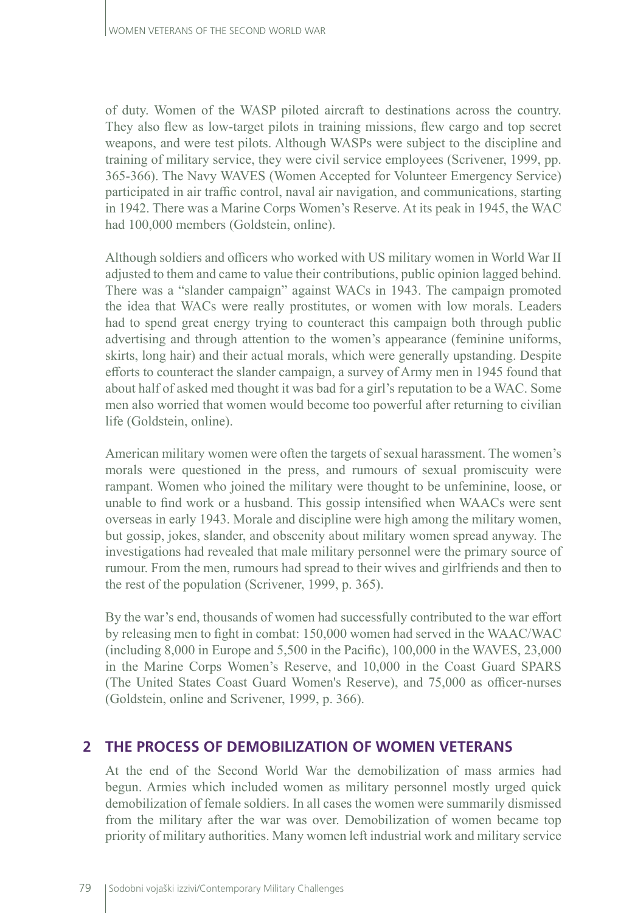of duty. Women of the WASP piloted aircraft to destinations across the country. They also flew as low-target pilots in training missions, flew cargo and top secret weapons, and were test pilots. Although WASPs were subject to the discipline and training of military service, they were civil service employees (Scrivener, 1999, pp. 365-366). The Navy WAVES (Women Accepted for Volunteer Emergency Service) participated in air traffic control, naval air navigation, and communications, starting in 1942. There was a Marine Corps Women's Reserve. At its peak in 1945, the WAC had 100,000 members (Goldstein, online).

Although soldiers and officers who worked with US military women in World War II adjusted to them and came to value their contributions, public opinion lagged behind. There was a "slander campaign" against WACs in 1943. The campaign promoted the idea that WACs were really prostitutes, or women with low morals. Leaders had to spend great energy trying to counteract this campaign both through public advertising and through attention to the women's appearance (feminine uniforms, skirts, long hair) and their actual morals, which were generally upstanding. Despite efforts to counteract the slander campaign, a survey of Army men in 1945 found that about half of asked med thought it was bad for a girl's reputation to be a WAC. Some men also worried that women would become too powerful after returning to civilian life (Goldstein, online).

American military women were often the targets of sexual harassment. The women's morals were questioned in the press, and rumours of sexual promiscuity were rampant. Women who joined the military were thought to be unfeminine, loose, or unable to find work or a husband. This gossip intensified when WAACs were sent overseas in early 1943. Morale and discipline were high among the military women, but gossip, jokes, slander, and obscenity about military women spread anyway. The investigations had revealed that male military personnel were the primary source of rumour. From the men, rumours had spread to their wives and girlfriends and then to the rest of the population (Scrivener, 1999, p. 365).

By the war's end, thousands of women had successfully contributed to the war effort by releasing men to fight in combat: 150,000 women had served in the WAAC/WAC (including 8,000 in Europe and 5,500 in the Pacific), 100,000 in the WAVES, 23,000 in the Marine Corps Women's Reserve, and 10,000 in the Coast Guard SPARS (The United States Coast Guard Women's Reserve), and 75,000 as officer-nurses (Goldstein, online and Scrivener, 1999, p. 366).

## **2 THE PROCESS OF DEMOBILIZATION OF WOMEN VETERANS**

At the end of the Second World War the demobilization of mass armies had begun. Armies which included women as military personnel mostly urged quick demobilization of female soldiers. In all cases the women were summarily dismissed from the military after the war was over. Demobilization of women became top priority of military authorities. Many women left industrial work and military service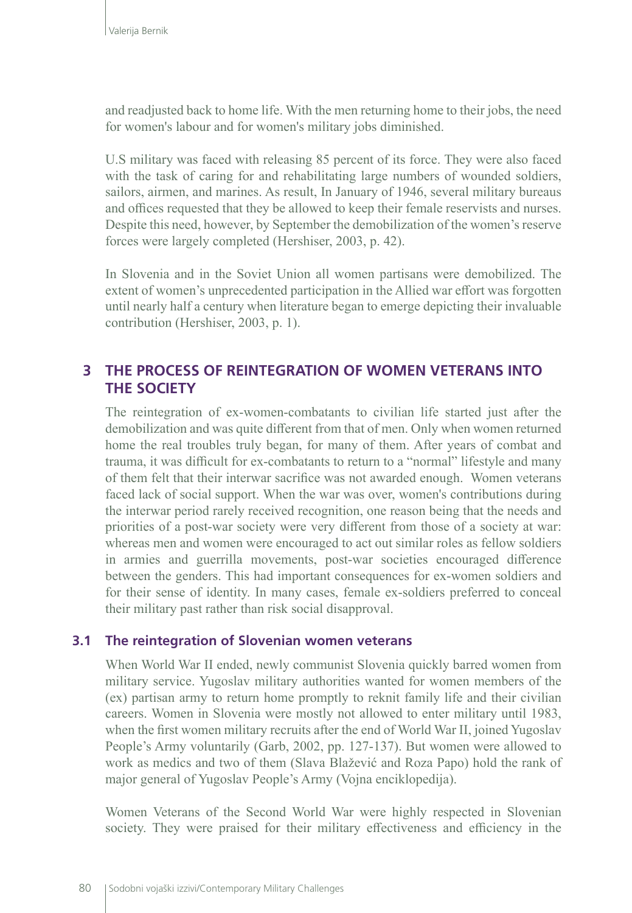and readjusted back to home life. With the men returning home to their jobs, the need for women's labour and for women's military jobs diminished.

U.S military was faced with releasing 85 percent of its force. They were also faced with the task of caring for and rehabilitating large numbers of wounded soldiers, sailors, airmen, and marines. As result, In January of 1946, several military bureaus and offices requested that they be allowed to keep their female reservists and nurses. Despite this need, however, by September the demobilization of the women's reserve forces were largely completed (Hershiser, 2003, p. 42).

In Slovenia and in the Soviet Union all women partisans were demobilized. The extent of women's unprecedented participation in the Allied war effort was forgotten until nearly half a century when literature began to emerge depicting their invaluable contribution (Hershiser, 2003, p. 1).

# **3 THE PROCESS OF REINTEGRATION OF WOMEN VETERANS INTO THE SOCIETY**

The reintegration of ex-women-combatants to civilian life started just after the demobilization and was quite different from that of men. Only when women returned home the real troubles truly began, for many of them. After years of combat and trauma, it was difficult for ex-combatants to return to a "normal" lifestyle and many of them felt that their interwar sacrifice was not awarded enough. Women veterans faced lack of social support. When the war was over, women's contributions during the interwar period rarely received recognition, one reason being that the needs and priorities of a post-war society were very different from those of a society at war: whereas men and women were encouraged to act out similar roles as fellow soldiers in armies and guerrilla movements, post-war societies encouraged difference between the genders. This had important consequences for ex-women soldiers and for their sense of identity. In many cases, female ex-soldiers preferred to conceal their military past rather than risk social disapproval.

### **3.1 The reintegration of Slovenian women veterans**

When World War II ended, newly communist Slovenia quickly barred women from military service. Yugoslav military authorities wanted for women members of the (ex) partisan army to return home promptly to reknit family life and their civilian careers. Women in Slovenia were mostly not allowed to enter military until 1983, when the first women military recruits after the end of World War II, joined Yugoslav People's Army voluntarily (Garb, 2002, pp. 127-137). But women were allowed to work as medics and two of them (Slava Blažević and Roza Papo) hold the rank of major general of Yugoslav People's Army (Vojna enciklopedija).

Women Veterans of the Second World War were highly respected in Slovenian society. They were praised for their military effectiveness and efficiency in the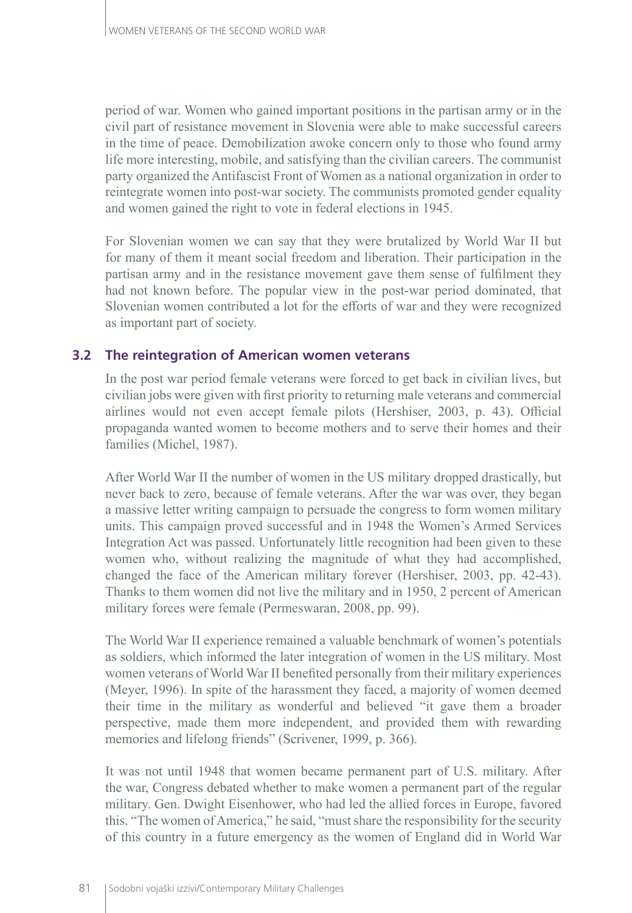period of war. Women who gained important positions in the partisan army or in the civil part of resistance movement in Slovenia were able to make successful careers in the time of peace. Demobilization awoke concern only to those who found army life more interesting, mobile, and satisfying than the civilian careers. The communist party organized the Antifascist Front of Women as a national organization in order to reintegrate women into post-war society. The communists promoted gender equality and women gained the right to vote in federal elections in 1945.

For Slovenian women we can say that they were brutalized by World War II but for many of them it meant social freedom and liberation. Their participation in the partisan army and in the resistance movement gave them sense of fulfilment they had not known before. The popular view in the post-war period dominated, that Slovenian women contributed a lot for the efforts of war and they were recognized as important part of society.

### **3.2 The reintegration of American women veterans**

In the post war period female veterans were forced to get back in civilian lives, but civilian jobs were given with first priority to returning male veterans and commercial airlines would not even accept female pilots (Hershiser, 2003, p. 43). Official propaganda wanted women to become mothers and to serve their homes and their families (Michel, 1987).

After World War II the number of women in the US military dropped drastically, but never back to zero, because of female veterans. After the war was over, they began a massive letter writing campaign to persuade the congress to form women military units. This campaign proved successful and in 1948 the Women's Armed Services Integration Act was passed. Unfortunately little recognition had been given to these women who, without realizing the magnitude of what they had accomplished, changed the face of the American military forever (Hershiser, 2003, pp. 42-43). Thanks to them women did not live the military and in 1950, 2 percent of American military forces were female (Permeswaran, 2008, pp. 99).

The World War II experience remained a valuable benchmark of women's potentials as soldiers, which informed the later integration of women in the US military. Most women veterans of World War II benefited personally from their military experiences (Meyer, 1996). In spite of the harassment they faced, a majority of women deemed their time in the military as wonderful and believed "it gave them a broader perspective, made them more independent, and provided them with rewarding memories and lifelong friends" (Scrivener, 1999, p. 366).

It was not until 1948 that women became permanent part of U.S. military. After the war, Congress debated whether to make women a permanent part of the regular military. Gen. Dwight Eisenhower, who had led the allied forces in Europe, favored this. "The women of America," he said, "must share the responsibility for the security of this country in a future emergency as the women of England did in World War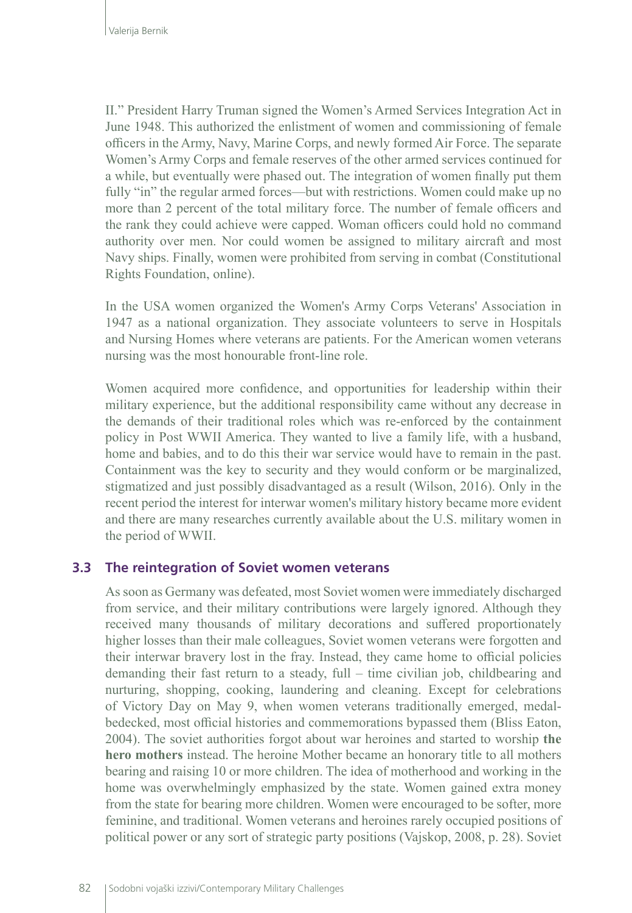II." President Harry Truman signed the Women's Armed Services Integration Act in June 1948. This authorized the enlistment of women and commissioning of female officers in the Army, Navy, Marine Corps, and newly formed Air Force. The separate Women's Army Corps and female reserves of the other armed services continued for a while, but eventually were phased out. The integration of women finally put them fully "in" the regular armed forces—but with restrictions. Women could make up no more than 2 percent of the total military force. The number of female officers and the rank they could achieve were capped. Woman officers could hold no command authority over men. Nor could women be assigned to military aircraft and most Navy ships. Finally, women were prohibited from serving in combat (Constitutional Rights Foundation, online).

In the USA women organized the Women's Army Corps Veterans' Association in 1947 as a national organization. They associate volunteers to serve in Hospitals and Nursing Homes where veterans are patients. For the American women veterans nursing was the most honourable front-line role.

Women acquired more confidence, and opportunities for leadership within their military experience, but the additional responsibility came without any decrease in the demands of their traditional roles which was re-enforced by the containment policy in Post WWII America. They wanted to live a family life, with a husband, home and babies, and to do this their war service would have to remain in the past. Containment was the key to security and they would conform or be marginalized, stigmatized and just possibly disadvantaged as a result (Wilson, 2016). Only in the recent period the interest for interwar women's military history became more evident and there are many researches currently available about the U.S. military women in the period of WWII.

#### **3.3 The reintegration of Soviet women veterans**

As soon as Germany was defeated, most Soviet women were immediately discharged from service, and their military contributions were largely ignored. Although they received many thousands of military decorations and suffered proportionately higher losses than their male colleagues, Soviet women veterans were forgotten and their interwar bravery lost in the fray. Instead, they came home to official policies demanding their fast return to a steady, full – time civilian job, childbearing and nurturing, shopping, cooking, laundering and cleaning. Except for celebrations of Victory Day on May 9, when women veterans traditionally emerged, medalbedecked, most official histories and commemorations bypassed them (Bliss Eaton, 2004). The soviet authorities forgot about war heroines and started to worship **the hero mothers** instead. The heroine Mother became an honorary title to all mothers bearing and raising 10 or more children. The idea of motherhood and working in the home was overwhelmingly emphasized by the state. Women gained extra money from the state for bearing more children. Women were encouraged to be softer, more feminine, and traditional. Women veterans and heroines rarely occupied positions of political power or any sort of strategic party positions (Vajskop, 2008, p. 28). Soviet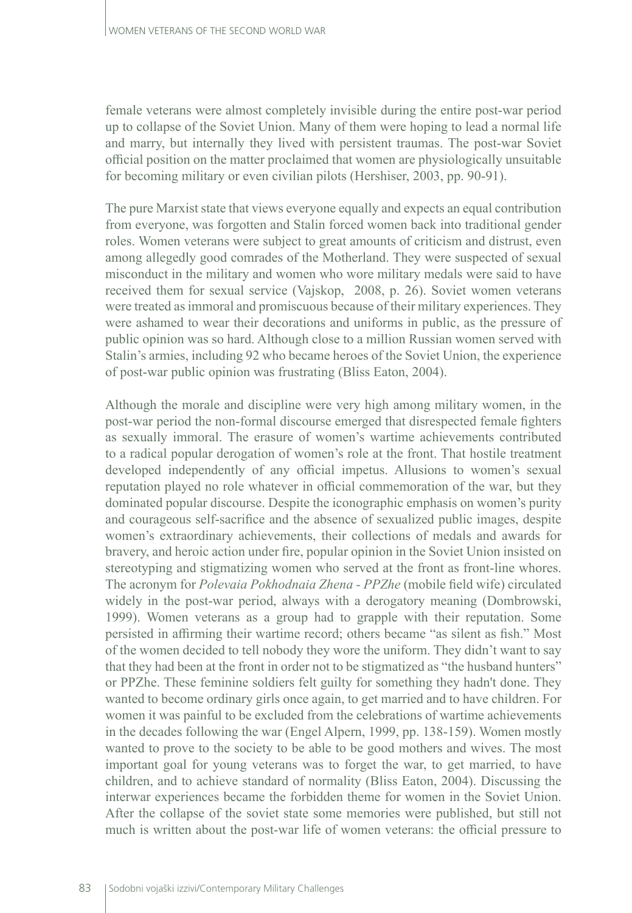female veterans were almost completely invisible during the entire post-war period up to collapse of the Soviet Union. Many of them were hoping to lead a normal life and marry, but internally they lived with persistent traumas. The post-war Soviet official position on the matter proclaimed that women are physiologically unsuitable for becoming military or even civilian pilots (Hershiser, 2003, pp. 90-91).

The pure Marxist state that views everyone equally and expects an equal contribution from everyone, was forgotten and Stalin forced women back into traditional gender roles. Women veterans were subject to great amounts of criticism and distrust, even among allegedly good comrades of the Motherland. They were suspected of sexual misconduct in the military and women who wore military medals were said to have received them for sexual service (Vajskop, 2008, p. 26). Soviet women veterans were treated as immoral and promiscuous because of their military experiences. They were ashamed to wear their decorations and uniforms in public, as the pressure of public opinion was so hard. Although close to a million Russian women served with Stalin's armies, including 92 who became heroes of the Soviet Union, the experience of post-war public opinion was frustrating (Bliss Eaton, 2004).

Although the morale and discipline were very high among military women, in the post-war period the non-formal discourse emerged that disrespected female fighters as sexually immoral. The erasure of women's wartime achievements contributed to a radical popular derogation of women's role at the front. That hostile treatment developed independently of any official impetus. Allusions to women's sexual reputation played no role whatever in official commemoration of the war, but they dominated popular discourse. Despite the iconographic emphasis on women's purity and courageous self-sacrifice and the absence of sexualized public images, despite women's extraordinary achievements, their collections of medals and awards for bravery, and heroic action under fire, popular opinion in the Soviet Union insisted on stereotyping and stigmatizing women who served at the front as front-line whores. The acronym for *Polevaia Pokhodnaia Zhena - PPZhe* (mobile field wife) circulated widely in the post-war period, always with a derogatory meaning (Dombrowski, 1999). Women veterans as a group had to grapple with their reputation. Some persisted in affirming their wartime record; others became "as silent as fish." Most of the women decided to tell nobody they wore the uniform. They didn't want to say that they had been at the front in order not to be stigmatized as "the husband hunters" or PPZhe. These feminine soldiers felt guilty for something they hadn't done. They wanted to become ordinary girls once again, to get married and to have children. For women it was painful to be excluded from the celebrations of wartime achievements in the decades following the war (Engel Alpern, 1999, pp. 138-159). Women mostly wanted to prove to the society to be able to be good mothers and wives. The most important goal for young veterans was to forget the war, to get married, to have children, and to achieve standard of normality (Bliss Eaton, 2004). Discussing the interwar experiences became the forbidden theme for women in the Soviet Union. After the collapse of the soviet state some memories were published, but still not much is written about the post-war life of women veterans: the official pressure to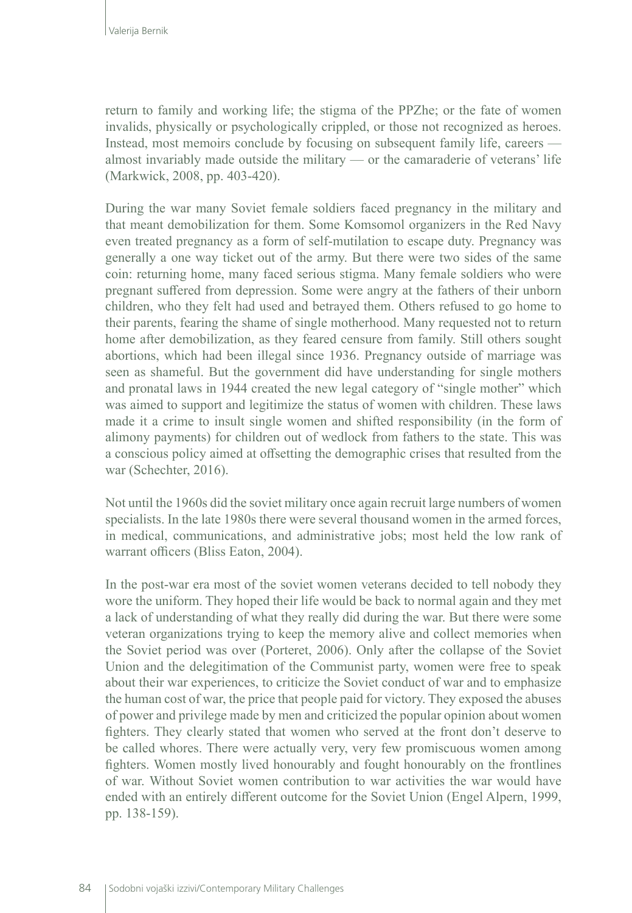return to family and working life; the stigma of the PPZhe; or the fate of women invalids, physically or psychologically crippled, or those not recognized as heroes. Instead, most memoirs conclude by focusing on subsequent family life, careers almost invariably made outside the military — or the camaraderie of veterans' life (Markwick, 2008, pp. 403-420).

During the war many Soviet female soldiers faced pregnancy in the military and that meant demobilization for them. Some Komsomol organizers in the Red Navy even treated pregnancy as a form of self-mutilation to escape duty. Pregnancy was generally a one way ticket out of the army. But there were two sides of the same coin: returning home, many faced serious stigma. Many female soldiers who were pregnant suffered from depression. Some were angry at the fathers of their unborn children, who they felt had used and betrayed them. Others refused to go home to their parents, fearing the shame of single motherhood. Many requested not to return home after demobilization, as they feared censure from family. Still others sought abortions, which had been illegal since 1936. Pregnancy outside of marriage was seen as shameful. But the government did have understanding for single mothers and pronatal laws in 1944 created the new legal category of "single mother" which was aimed to support and legitimize the status of women with children. These laws made it a crime to insult single women and shifted responsibility (in the form of alimony payments) for children out of wedlock from fathers to the state. This was a conscious policy aimed at offsetting the demographic crises that resulted from the war (Schechter, 2016).

Not until the 1960s did the soviet military once again recruit large numbers of women specialists. In the late 1980s there were several thousand women in the armed forces, in medical, communications, and administrative jobs; most held the low rank of warrant officers (Bliss Eaton, 2004).

In the post-war era most of the soviet women veterans decided to tell nobody they wore the uniform. They hoped their life would be back to normal again and they met a lack of understanding of what they really did during the war. But there were some veteran organizations trying to keep the memory alive and collect memories when the Soviet period was over (Porteret, 2006). Only after the collapse of the Soviet Union and the delegitimation of the Communist party, women were free to speak about their war experiences, to criticize the Soviet conduct of war and to emphasize the human cost of war, the price that people paid for victory. They exposed the abuses of power and privilege made by men and criticized the popular opinion about women fighters. They clearly stated that women who served at the front don't deserve to be called whores. There were actually very, very few promiscuous women among fighters. Women mostly lived honourably and fought honourably on the frontlines of war. Without Soviet women contribution to war activities the war would have ended with an entirely different outcome for the Soviet Union (Engel Alpern, 1999, pp. 138-159).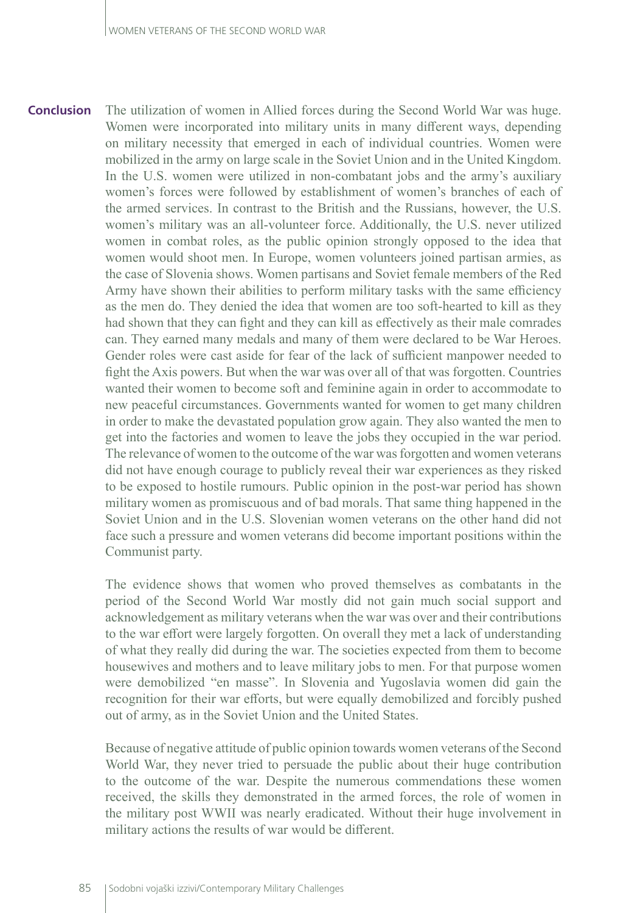The utilization of women in Allied forces during the Second World War was huge. Women were incorporated into military units in many different ways, depending on military necessity that emerged in each of individual countries. Women were mobilized in the army on large scale in the Soviet Union and in the United Kingdom. In the U.S. women were utilized in non-combatant jobs and the army's auxiliary women's forces were followed by establishment of women's branches of each of the armed services. In contrast to the British and the Russians, however, the U.S. women's military was an all-volunteer force. Additionally, the U.S. never utilized women in combat roles, as the public opinion strongly opposed to the idea that women would shoot men. In Europe, women volunteers joined partisan armies, as the case of Slovenia shows. Women partisans and Soviet female members of the Red Army have shown their abilities to perform military tasks with the same efficiency as the men do. They denied the idea that women are too soft-hearted to kill as they had shown that they can fight and they can kill as effectively as their male comrades can. They earned many medals and many of them were declared to be War Heroes. Gender roles were cast aside for fear of the lack of sufficient manpower needed to fight the Axis powers. But when the war was over all of that was forgotten. Countries wanted their women to become soft and feminine again in order to accommodate to new peaceful circumstances. Governments wanted for women to get many children in order to make the devastated population grow again. They also wanted the men to get into the factories and women to leave the jobs they occupied in the war period. The relevance of women to the outcome of the war was forgotten and women veterans did not have enough courage to publicly reveal their war experiences as they risked to be exposed to hostile rumours. Public opinion in the post-war period has shown military women as promiscuous and of bad morals. That same thing happened in the Soviet Union and in the U.S. Slovenian women veterans on the other hand did not face such a pressure and women veterans did become important positions within the Communist party. **Conclusion**

> The evidence shows that women who proved themselves as combatants in the period of the Second World War mostly did not gain much social support and acknowledgement as military veterans when the war was over and their contributions to the war effort were largely forgotten. On overall they met a lack of understanding of what they really did during the war. The societies expected from them to become housewives and mothers and to leave military jobs to men. For that purpose women were demobilized "en masse". In Slovenia and Yugoslavia women did gain the recognition for their war efforts, but were equally demobilized and forcibly pushed out of army, as in the Soviet Union and the United States.

> Because of negative attitude of public opinion towards women veterans of the Second World War, they never tried to persuade the public about their huge contribution to the outcome of the war. Despite the numerous commendations these women received, the skills they demonstrated in the armed forces, the role of women in the military post WWII was nearly eradicated. Without their huge involvement in military actions the results of war would be different.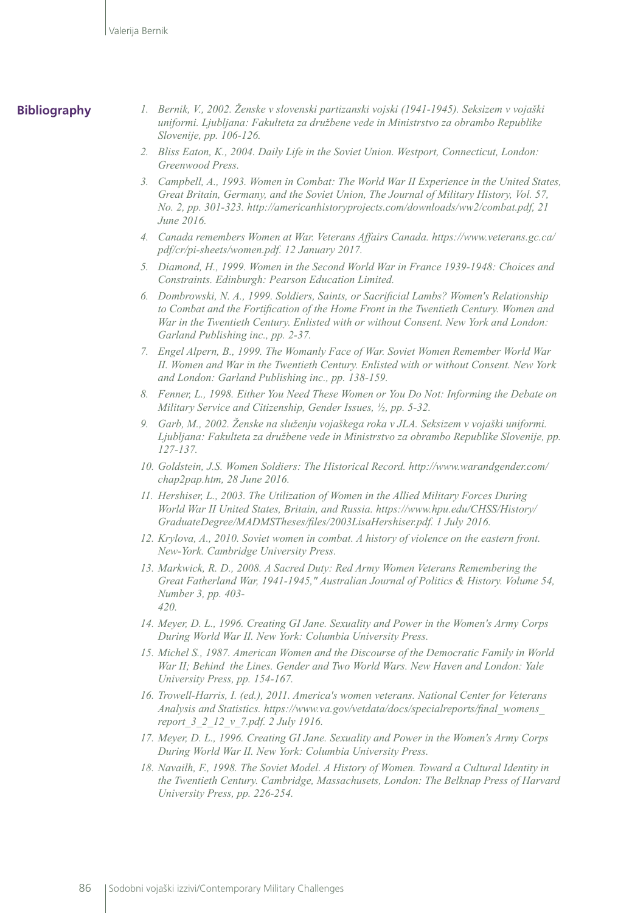#### **Bibliography**

- *1. Bernik, V., 2002. Ženske v slovenski partizanski vojski (1941-1945). Seksizem v vojaški uniformi. Ljubljana: Fakulteta za družbene vede in Ministrstvo za obrambo Republike Slovenije, pp. 106-126.*
- *2. Bliss Eaton, K., 2004. Daily Life in the Soviet Union. Westport, Connecticut, London: Greenwood Press.*
- *3. Campbell, A., 1993. Women in Combat: The World War II Experience in the United States, Great Britain, Germany, and the Soviet Union, The Journal of Military History, Vol. 57, No. 2, pp. 301-323. [http://americanhistoryprojects.com/downloads/ww2/combat.pdf,](http://americanhistoryprojects.com/downloads/ww2/combat.pdf) 21 June 2016.*
- *4. Canada remembers Women at War. Veterans Affairs Canada. [https://www.veterans.gc.ca/](https://www.veterans.gc.ca/pdf/cr/pi-sheets/women.pdf.%2012.%20January%202017) [pdf/cr/pi-sheets/women.pdf. 12 January 2017.](https://www.veterans.gc.ca/pdf/cr/pi-sheets/women.pdf.%2012.%20January%202017)*
- *5. Diamond, H., 1999. Women in the Second World War in France 1939-1948: Choices and Constraints. Edinburgh: Pearson Education Limited.*
- *6. Dombrowski, N. A., 1999. Soldiers, Saints, or Sacrificial Lambs? Women's Relationship to Combat and the Fortification of the Home Front in the Twentieth Century. Women and War in the Twentieth Century. Enlisted with or without Consent. New York and London: Garland Publishing inc., pp. 2-37.*
- *7. Engel Alpern, B., 1999. The Womanly Face of War. Soviet Women Remember World War II. Women and War in the Twentieth Century. Enlisted with or without Consent. New York and London: Garland Publishing inc., pp. 138-159.*
- *8. Fenner, L., 1998. Either You Need These Women or You Do Not: Informing the Debate on Military Service and Citizenship, Gender Issues, ½, pp. 5-32.*
- *9. Garb, M., 2002. Ženske na služenju vojaškega roka v JLA. Seksizem v vojaški uniformi. Ljubljana: Fakulteta za družbene vede in Ministrstvo za obrambo Republike Slovenije, pp. 127-137.*
- *10. Goldstein, J.S. Women Soldiers: The Historical Record. [http://www.warandgender.com/](http://www.warandgender.com/chap2pap.htm) [chap2pap.htm,](http://www.warandgender.com/chap2pap.htm) 28 June 2016.*
- *11. Hershiser, L., 2003. The Utilization of Women in the Allied Military Forces During World War II United States, Britain, and Russia. [https://www.hpu.edu/CHSS/History/](https://www.hpu.edu/CHSS/History/GraduateDegree/MADMSTheses/files/2003LisaHershiser.pdf.%201.%20July%202016) [GraduateDegree/MADMSTheses/files/2003LisaHershiser.pdf. 1 July 2016](https://www.hpu.edu/CHSS/History/GraduateDegree/MADMSTheses/files/2003LisaHershiser.pdf.%201.%20July%202016).*
- *12. Krylova, A., 2010. Soviet women in combat. A history of violence on the eastern front. New-York. Cambridge University Press.*
- *13. Markwick, R. D., 2008. A Sacred Duty: Red Army Women Veterans Remembering the Great Fatherland War, 1941-1945," Australian Journal of Politics & History. Volume 54, Number 3, pp. 403- 420.*
- *14. Meyer, D. L., 1996. Creating GI Jane. Sexuality and Power in the Women's Army Corps During World War II. New York: Columbia University Press.*
- *15. Michel S., 1987. American Women and the Discourse of the Democratic Family in World War II; Behind the Lines. Gender and Two World Wars. New Haven and London: Yale University Press, pp. 154-167.*
- *16. Trowell-Harris, I. (ed.), 2011. America's women veterans. National Center for Veterans Analysis and Statistics. [https://www.va.gov/vetdata/docs/specialreports/final\\_womens\\_](https://www.va.gov/vetdata/docs/specialreports/final_womens_report_3_2_12_v_7.pdf.%202) [report\\_3\\_2\\_12\\_v\\_7.pdf. 2](https://www.va.gov/vetdata/docs/specialreports/final_womens_report_3_2_12_v_7.pdf.%202) July 1916.*
- *17. Meyer, D. L., 1996. Creating GI Jane. Sexuality and Power in the Women's Army Corps During World War II. New York: Columbia University Press.*
- *18. Navailh, F., 1998. The Soviet Model. A History of Women. Toward a Cultural Identity in the Twentieth Century. Cambridge, Massachusets, London: The Belknap Press of Harvard University Press, pp. 226-254.*